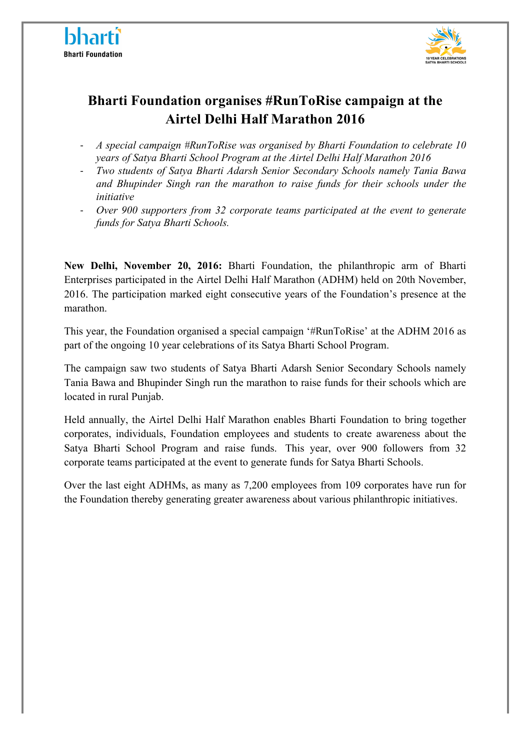



## **Bharti Foundation organises #RunToRise campaign at the Airtel Delhi Half Marathon 2016**

- *A special campaign #RunToRise was organised by Bharti Foundation to celebrate 10 years of Satya Bharti School Program at the Airtel Delhi Half Marathon 2016*
- *Two students of Satya Bharti Adarsh Senior Secondary Schools namely Tania Bawa and Bhupinder Singh ran the marathon to raise funds for their schools under the initiative*
- *Over 900 supporters from 32 corporate teams participated at the event to generate funds for Satya Bharti Schools.*

**New Delhi, November 20, 2016:** Bharti Foundation, the philanthropic arm of Bharti Enterprises participated in the Airtel Delhi Half Marathon (ADHM) held on 20th November, 2016. The participation marked eight consecutive years of the Foundation's presence at the marathon.

This year, the Foundation organised a special campaign '#RunToRise' at the ADHM 2016 as part of the ongoing 10 year celebrations of its Satya Bharti School Program.

The campaign saw two students of Satya Bharti Adarsh Senior Secondary Schools namely Tania Bawa and Bhupinder Singh run the marathon to raise funds for their schools which are located in rural Punjab.

Held annually, the Airtel Delhi Half Marathon enables Bharti Foundation to bring together corporates, individuals, Foundation employees and students to create awareness about the Satya Bharti School Program and raise funds. This year, over 900 followers from 32 corporate teams participated at the event to generate funds for Satya Bharti Schools.

Over the last eight ADHMs, as many as 7,200 employees from 109 corporates have run for the Foundation thereby generating greater awareness about various philanthropic initiatives.